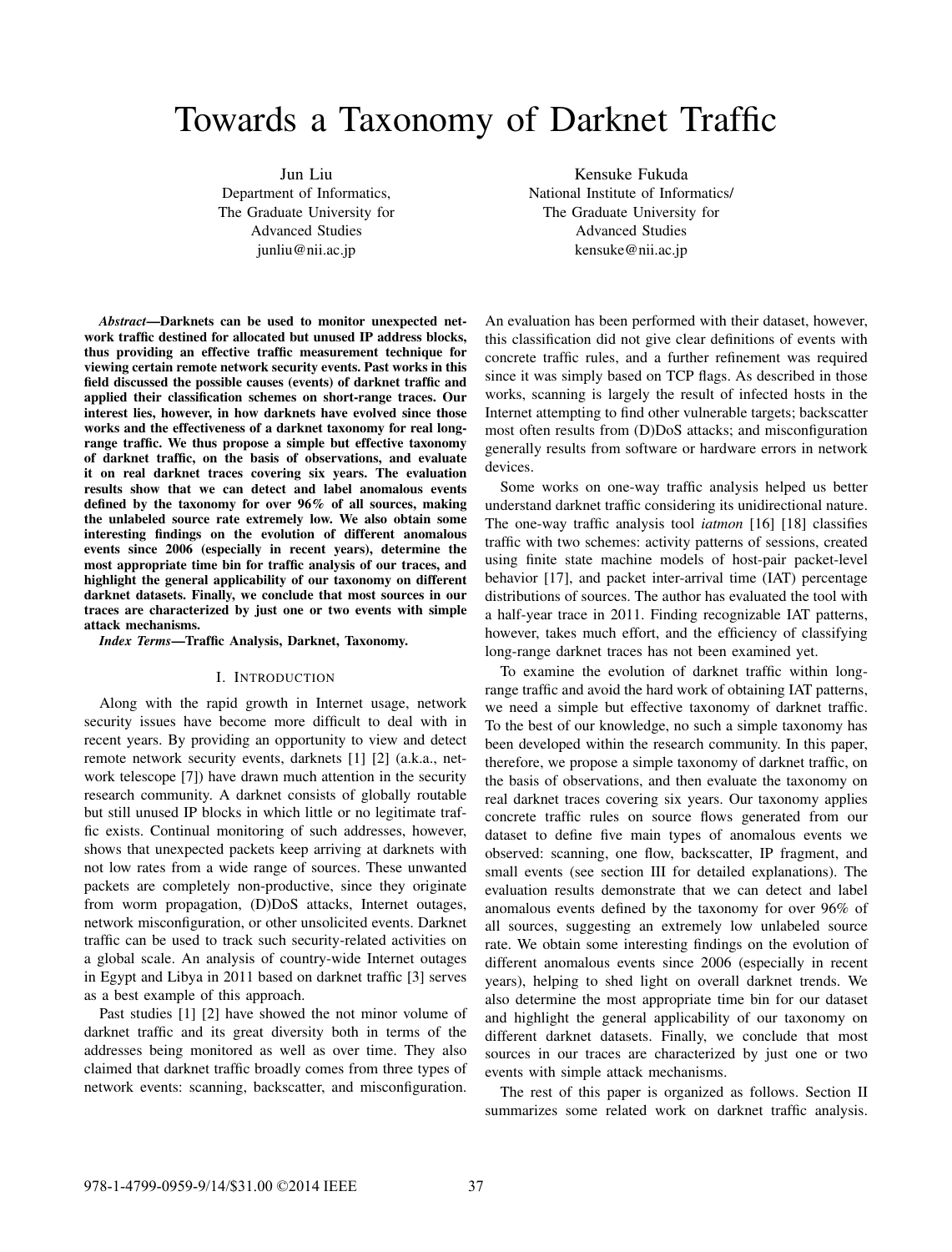# Towards a Taxonomy of Darknet Traffic

Jun Liu Department of Informatics, The Graduate University for Advanced Studies junliu@nii.ac.jp

*Abstract*—Darknets can be used to monitor unexpected network traffic destined for allocated but unused IP address blocks, thus providing an effective traffic measurement technique for viewing certain remote network security events. Past works in this field discussed the possible causes (events) of darknet traffic and applied their classification schemes on short-range traces. Our interest lies, however, in how darknets have evolved since those works and the effectiveness of a darknet taxonomy for real longrange traffic. We thus propose a simple but effective taxonomy of darknet traffic, on the basis of observations, and evaluate it on real darknet traces covering six years. The evaluation results show that we can detect and label anomalous events defined by the taxonomy for over 96% of all sources, making the unlabeled source rate extremely low. We also obtain some interesting findings on the evolution of different anomalous events since 2006 (especially in recent years), determine the most appropriate time bin for traffic analysis of our traces, and highlight the general applicability of our taxonomy on different darknet datasets. Finally, we conclude that most sources in our traces are characterized by just one or two events with simple attack mechanisms.

*Index Terms*—Traffic Analysis, Darknet, Taxonomy.

#### I. INTRODUCTION

Along with the rapid growth in Internet usage, network security issues have become more difficult to deal with in recent years. By providing an opportunity to view and detect remote network security events, darknets [1] [2] (a.k.a., network telescope [7]) have drawn much attention in the security research community. A darknet consists of globally routable but still unused IP blocks in which little or no legitimate traffic exists. Continual monitoring of such addresses, however, shows that unexpected packets keep arriving at darknets with not low rates from a wide range of sources. These unwanted packets are completely non-productive, since they originate from worm propagation, (D)DoS attacks, Internet outages, network misconfiguration, or other unsolicited events. Darknet traffic can be used to track such security-related activities on a global scale. An analysis of country-wide Internet outages in Egypt and Libya in 2011 based on darknet traffic [3] serves as a best example of this approach.

Past studies [1] [2] have showed the not minor volume of darknet traffic and its great diversity both in terms of the addresses being monitored as well as over time. They also claimed that darknet traffic broadly comes from three types of network events: scanning, backscatter, and misconfiguration.

Kensuke Fukuda National Institute of Informatics/ The Graduate University for Advanced Studies kensuke@nii.ac.jp

An evaluation has been performed with their dataset, however, this classification did not give clear definitions of events with concrete traffic rules, and a further refinement was required since it was simply based on TCP flags. As described in those works, scanning is largely the result of infected hosts in the Internet attempting to find other vulnerable targets; backscatter most often results from (D)DoS attacks; and misconfiguration generally results from software or hardware errors in network devices.

Some works on one-way traffic analysis helped us better understand darknet traffic considering its unidirectional nature. The one-way traffic analysis tool *iatmon* [16] [18] classifies traffic with two schemes: activity patterns of sessions, created using finite state machine models of host-pair packet-level behavior [17], and packet inter-arrival time (IAT) percentage distributions of sources. The author has evaluated the tool with a half-year trace in 2011. Finding recognizable IAT patterns, however, takes much effort, and the efficiency of classifying long-range darknet traces has not been examined yet.

To examine the evolution of darknet traffic within longrange traffic and avoid the hard work of obtaining IAT patterns, we need a simple but effective taxonomy of darknet traffic. To the best of our knowledge, no such a simple taxonomy has been developed within the research community. In this paper, therefore, we propose a simple taxonomy of darknet traffic, on the basis of observations, and then evaluate the taxonomy on real darknet traces covering six years. Our taxonomy applies concrete traffic rules on source flows generated from our dataset to define five main types of anomalous events we observed: scanning, one flow, backscatter, IP fragment, and small events (see section III for detailed explanations). The evaluation results demonstrate that we can detect and label anomalous events defined by the taxonomy for over 96% of all sources, suggesting an extremely low unlabeled source rate. We obtain some interesting findings on the evolution of different anomalous events since 2006 (especially in recent years), helping to shed light on overall darknet trends. We also determine the most appropriate time bin for our dataset and highlight the general applicability of our taxonomy on different darknet datasets. Finally, we conclude that most sources in our traces are characterized by just one or two events with simple attack mechanisms.

The rest of this paper is organized as follows. Section II summarizes some related work on darknet traffic analysis.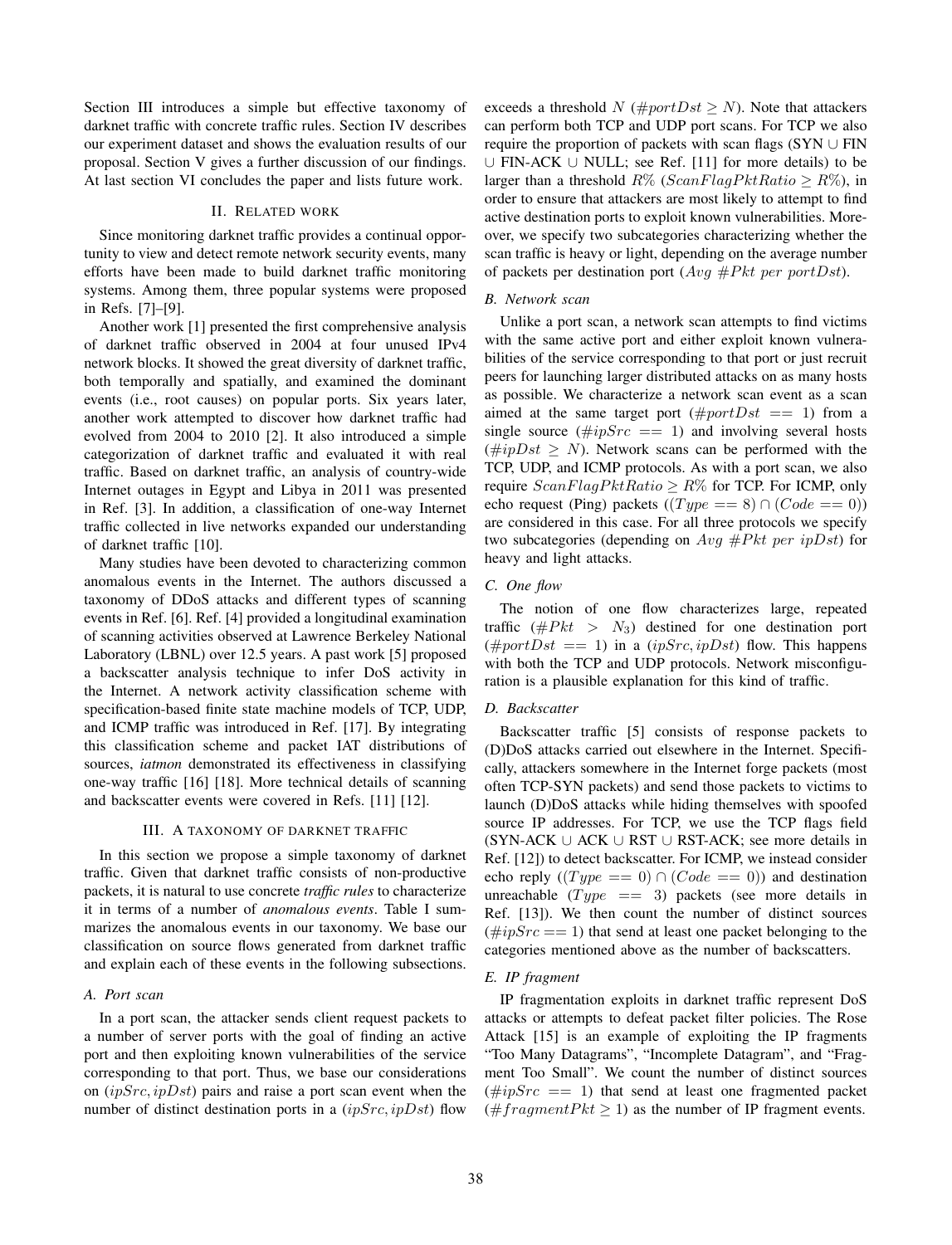Section III introduces a simple but effective taxonomy of darknet traffic with concrete traffic rules. Section IV describes our experiment dataset and shows the evaluation results of our proposal. Section V gives a further discussion of our findings. At last section VI concludes the paper and lists future work.

# II. RELATED WORK

Since monitoring darknet traffic provides a continual opportunity to view and detect remote network security events, many efforts have been made to build darknet traffic monitoring systems. Among them, three popular systems were proposed in Refs. [7]–[9].

Another work [1] presented the first comprehensive analysis of darknet traffic observed in 2004 at four unused IPv4 network blocks. It showed the great diversity of darknet traffic, both temporally and spatially, and examined the dominant events (i.e., root causes) on popular ports. Six years later, another work attempted to discover how darknet traffic had evolved from 2004 to 2010 [2]. It also introduced a simple categorization of darknet traffic and evaluated it with real traffic. Based on darknet traffic, an analysis of country-wide Internet outages in Egypt and Libya in 2011 was presented in Ref. [3]. In addition, a classification of one-way Internet traffic collected in live networks expanded our understanding of darknet traffic [10].

Many studies have been devoted to characterizing common anomalous events in the Internet. The authors discussed a taxonomy of DDoS attacks and different types of scanning events in Ref. [6]. Ref. [4] provided a longitudinal examination of scanning activities observed at Lawrence Berkeley National Laboratory (LBNL) over 12.5 years. A past work [5] proposed a backscatter analysis technique to infer DoS activity in the Internet. A network activity classification scheme with specification-based finite state machine models of TCP, UDP, and ICMP traffic was introduced in Ref. [17]. By integrating this classification scheme and packet IAT distributions of sources, *iatmon* demonstrated its effectiveness in classifying one-way traffic [16] [18]. More technical details of scanning and backscatter events were covered in Refs. [11] [12].

### III. A TAXONOMY OF DARKNET TRAFFIC

In this section we propose a simple taxonomy of darknet traffic. Given that darknet traffic consists of non-productive packets, it is natural to use concrete *traffic rules* to characterize it in terms of a number of *anomalous events*. Table I summarizes the anomalous events in our taxonomy. We base our classification on source flows generated from darknet traffic and explain each of these events in the following subsections.

#### *A. Port scan*

In a port scan, the attacker sends client request packets to a number of server ports with the goal of finding an active port and then exploiting known vulnerabilities of the service corresponding to that port. Thus, we base our considerations on  $(ipSrc, ipDst)$  pairs and raise a port scan event when the number of distinct destination ports in a  $(ipSrc, ipDst)$  flow exceeds a threshold N ( $\#portDst \geq N$ ). Note that attackers can perform both TCP and UDP port scans. For TCP we also require the proportion of packets with scan flags (SYN  $\cup$  FIN ∪ FIN-ACK ∪ NULL; see Ref. [11] for more details) to be larger than a threshold  $R\%$  (ScanFlagPktRatio  $\geq R\%$ ), in order to ensure that attackers are most likely to attempt to find active destination ports to exploit known vulnerabilities. Moreover, we specify two subcategories characterizing whether the scan traffic is heavy or light, depending on the average number of packets per destination port  $(Avg \# Pkt \text{ per port} Dst)$ .

## *B. Network scan*

Unlike a port scan, a network scan attempts to find victims with the same active port and either exploit known vulnerabilities of the service corresponding to that port or just recruit peers for launching larger distributed attacks on as many hosts as possible. We characterize a network scan event as a scan aimed at the same target port  $(\text{#}portDst == 1)$  from a single source  $(\#ipSrc = 1)$  and involving several hosts (#ipDst  $\geq$  N). Network scans can be performed with the TCP, UDP, and ICMP protocols. As with a port scan, we also require  $ScanFlagPktRatio > R\%$  for TCP. For ICMP, only echo request (Ping) packets ( $(Type == 8) \cap (Code == 0)$ ) are considered in this case. For all three protocols we specify two subcategories (depending on  $Avg \# Pkt$  per ipDst) for heavy and light attacks.

## *C. One flow*

The notion of one flow characterizes large, repeated traffic ( $\# Pkt > N_3$ ) destined for one destination port  $(\text{#port}Dist == 1)$  in a  $(ipSrc, ipDst)$  flow. This happens with both the TCP and UDP protocols. Network misconfiguration is a plausible explanation for this kind of traffic.

# *D. Backscatter*

Backscatter traffic [5] consists of response packets to (D)DoS attacks carried out elsewhere in the Internet. Specifically, attackers somewhere in the Internet forge packets (most often TCP-SYN packets) and send those packets to victims to launch (D)DoS attacks while hiding themselves with spoofed source IP addresses. For TCP, we use the TCP flags field  $(SYN-ACK \cup ACK \cup RST \cup RST-ACK)$ ; see more details in Ref. [12]) to detect backscatter. For ICMP, we instead consider echo reply  $((Type == 0) \cap (Code == 0))$  and destination unreachable  $(Type == 3)$  packets (see more details in Ref. [13]). We then count the number of distinct sources  $(\#ipSrc == 1)$  that send at least one packet belonging to the categories mentioned above as the number of backscatters.

# *E. IP fragment*

IP fragmentation exploits in darknet traffic represent DoS attacks or attempts to defeat packet filter policies. The Rose Attack [15] is an example of exploiting the IP fragments "Too Many Datagrams", "Incomplete Datagram", and "Fragment Too Small". We count the number of distinct sources  $(\#ipSrc = 1)$  that send at least one fragmented packet (#fragmentPkt  $\geq$  1) as the number of IP fragment events.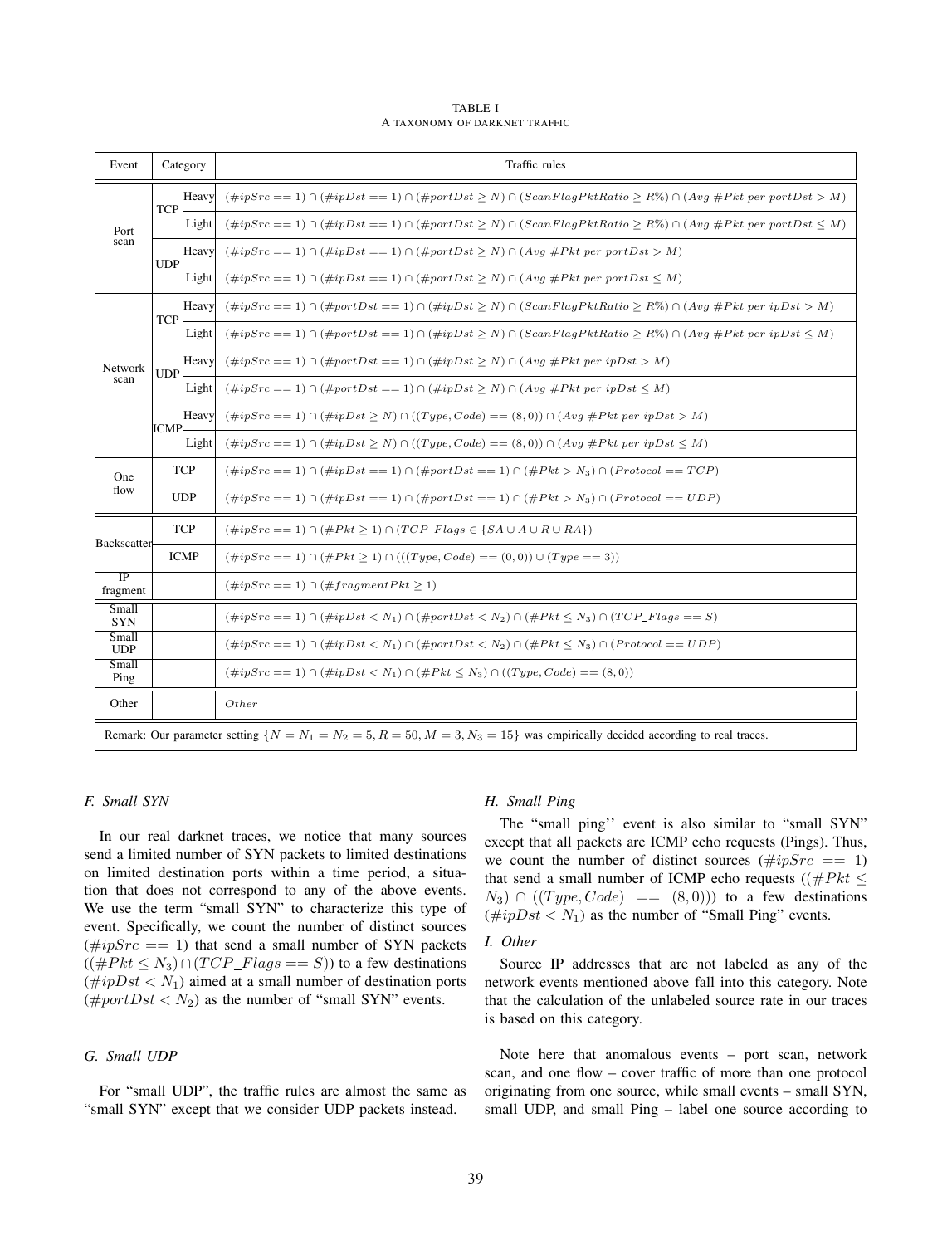TABLE I A TAXONOMY OF DARKNET TRAFFIC

| Event                       |             | Category | Traffic rules                                                                                                                    |
|-----------------------------|-------------|----------|----------------------------------------------------------------------------------------------------------------------------------|
| Port<br>scan                | <b>TCP</b>  | Heavy    | $(\#ipSrc = 1) \cap (\#ipDst == 1) \cap (\#portDst > N) \cap (ScanFlagPktRatio > R\%) \cap (Avg \#Pkt per portDst > M)$          |
|                             |             | Light    | $(\#ipSrc = 1) \cap (\#ipDst == 1) \cap (\#portDst \geq N) \cap (ScanFlagPktRatio \geq R\%) \cap (Avg \#Pkt per portDst \leq M)$ |
|                             | <b>UDP</b>  | Heavy    | $(\#ipSrc == 1) \cap (\#ipDst == 1) \cap (\#portDst \geq N) \cap (Avg \#Pkt per portDst > M)$                                    |
|                             |             | Light    | $(\#ipSrc == 1) \cap (\#ipDst == 1) \cap (\#portDst \geq N) \cap (Avg \#Pkt per portDst \leq M)$                                 |
| Network<br>scan             | <b>TCP</b>  | Heavy    | $(\#ipSrc = 1) \cap (\#portDst == 1) \cap (\#ipDst \ge N) \cap (ScanFlagPktRatio \ge R\%) \cap (Avg \#Pkt per ipDst \ge M)$      |
|                             |             | Light    | $(\#ipSrc = 1) \cap (\#portDst == 1) \cap (\#ipDst > N) \cap (ScanFlagPktRatio > R\%) \cap (Avg \#Pkt per ipDst < M)$            |
|                             | <b>UDP</b>  | Heavy    | $(\#ipSrc == 1) \cap (\#portDst == 1) \cap (\#ipDst > N) \cap (Avg \#Pkt per ipDst > M)$                                         |
|                             |             | Light    | $(\#ipSrc == 1) \cap (\#portDst == 1) \cap (\#ipDst \ge N) \cap (Avg \#Pkt per ipDst \le M)$                                     |
|                             | <b>ICMP</b> | Heavy    | $(\#ipSrc == 1) \cap (\#ipDst \geq N) \cap ((Type, Code) == (8,0)) \cap (Avg \#Pkt per ipDst > M)$                               |
|                             |             | Light    | $(\#ipSrc == 1) \cap (\#ipDst \geq N) \cap ((Type, Code) == (8,0)) \cap (Avg \#Pkt per ipDst \leq M)$                            |
| One<br>flow                 | <b>TCP</b>  |          | $(\#ipSrc == 1) \cap (\#ipDst == 1) \cap (\#portDst == 1) \cap (\#Pkt > N_3) \cap (Protocol == TCP)$                             |
|                             | <b>UDP</b>  |          | $(\#ipSrc == 1) \cap (\#ipDst == 1) \cap (\#portDst == 1) \cap (\#Pkt > N_3) \cap (Protocol == UDP)$                             |
| <b>Backscatter</b>          | <b>TCP</b>  |          | $(\#ipSrc == 1) \cap (\#Pk + \geq 1) \cap (TCP\_Flags \in \{SA \cup A \cup R \cup RA\})$                                         |
|                             | <b>ICMP</b> |          | $(\#ipSrc == 1) \cap (\#Pk t \ge 1) \cap (((Type, Code) == (0,0)) \cup (Type == 3))$                                             |
| $\overline{IP}$<br>fragment |             |          | $(\#ipSrc == 1) \cap (\#fragmentPk t \geq 1)$                                                                                    |
| Small<br><b>SYN</b>         |             |          | $(\#ipSrc == 1) \cap (\#ipDst < N_1) \cap (\#portDst < N_2) \cap (\#Pkt \le N_3) \cap (TCP_Flags == S)$                          |
| Small<br><b>UDP</b>         |             |          | $(\#ipSrc == 1) \cap (\#ipDst < N_1) \cap (\#portDst < N_2) \cap (\#Pkt \le N_3) \cap (Protocol == UDP)$                         |
| Small<br>Ping               |             |          | $(\#ipSrc = 1) \cap (\#ipDst < N_1) \cap (\#Pkt \leq N_3) \cap ((Type, Code) == (8,0))$                                          |
| Other                       |             |          | Other                                                                                                                            |
|                             |             |          | Remark: Our parameter setting $\{N = N_1 = N_2 = 5, R = 50, M = 3, N_3 = 15\}$ was empirically decided according to real traces. |

# *F. Small SYN*

In our real darknet traces, we notice that many sources send a limited number of SYN packets to limited destinations on limited destination ports within a time period, a situation that does not correspond to any of the above events. We use the term "small SYN" to characterize this type of event. Specifically, we count the number of distinct sources  $(\#ipSrc == 1)$  that send a small number of SYN packets  $((\# Pkt \leq N_3) \cap (TCP\_Flags == S))$  to a few destinations  $(\#ipDst < N_1)$  aimed at a small number of destination ports (#portDst <  $N_2$ ) as the number of "small SYN" events.

# *G. Small UDP*

For "small UDP", the traffic rules are almost the same as "small SYN" except that we consider UDP packets instead.

## *H. Small Ping*

The "small ping'' event is also similar to "small SYN" except that all packets are ICMP echo requests (Pings). Thus, we count the number of distinct sources ( $\#ipSrc = 1$ ) that send a small number of ICMP echo requests ( $(\# Pkt \leq$  $N_3$ )  $\cap$  ((Type, Code) == (8,0))) to a few destinations  $(\#ipDst < N_1)$  as the number of "Small Ping" events.

# *I. Other*

Source IP addresses that are not labeled as any of the network events mentioned above fall into this category. Note that the calculation of the unlabeled source rate in our traces is based on this category.

Note here that anomalous events – port scan, network scan, and one flow – cover traffic of more than one protocol originating from one source, while small events – small SYN, small UDP, and small Ping – label one source according to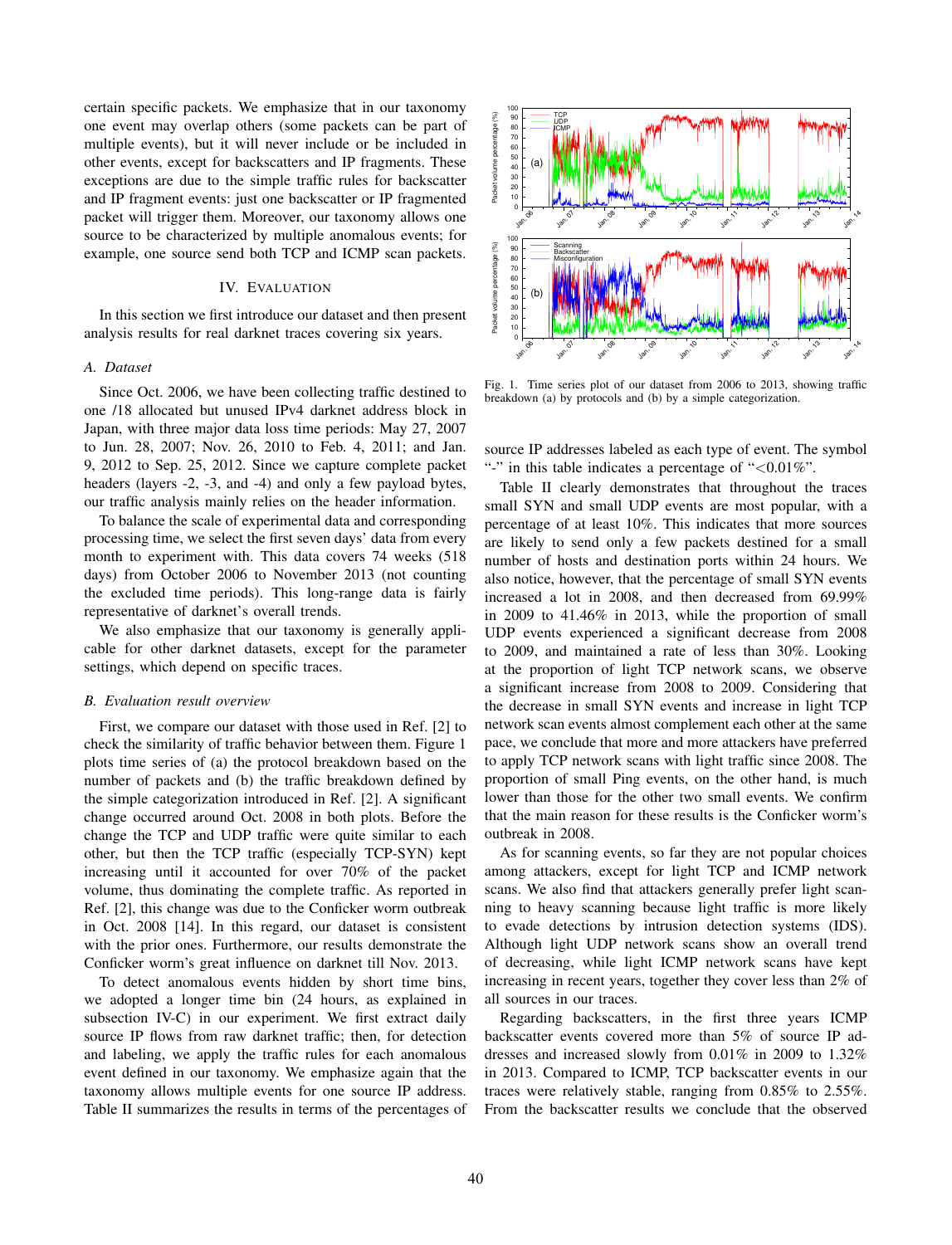certain specific packets. We emphasize that in our taxonomy one event may overlap others (some packets can be part of multiple events), but it will never include or be included in other events, except for backscatters and IP fragments. These exceptions are due to the simple traffic rules for backscatter and IP fragment events: just one backscatter or IP fragmented packet will trigger them. Moreover, our taxonomy allows one source to be characterized by multiple anomalous events; for example, one source send both TCP and ICMP scan packets.

# IV. EVALUATION

In this section we first introduce our dataset and then present analysis results for real darknet traces covering six years.

# *A. Dataset*

Since Oct. 2006, we have been collecting traffic destined to one /18 allocated but unused IPv4 darknet address block in Japan, with three major data loss time periods: May 27, 2007 to Jun. 28, 2007; Nov. 26, 2010 to Feb. 4, 2011; and Jan. 9, 2012 to Sep. 25, 2012. Since we capture complete packet headers (layers -2, -3, and -4) and only a few payload bytes, our traffic analysis mainly relies on the header information.

To balance the scale of experimental data and corresponding processing time, we select the first seven days' data from every month to experiment with. This data covers 74 weeks (518 days) from October 2006 to November 2013 (not counting the excluded time periods). This long-range data is fairly representative of darknet's overall trends.

We also emphasize that our taxonomy is generally applicable for other darknet datasets, except for the parameter settings, which depend on specific traces.

#### *B. Evaluation result overview*

First, we compare our dataset with those used in Ref. [2] to check the similarity of traffic behavior between them. Figure 1 plots time series of (a) the protocol breakdown based on the number of packets and (b) the traffic breakdown defined by the simple categorization introduced in Ref. [2]. A significant change occurred around Oct. 2008 in both plots. Before the change the TCP and UDP traffic were quite similar to each other, but then the TCP traffic (especially TCP-SYN) kept increasing until it accounted for over 70% of the packet volume, thus dominating the complete traffic. As reported in Ref. [2], this change was due to the Conficker worm outbreak in Oct. 2008 [14]. In this regard, our dataset is consistent with the prior ones. Furthermore, our results demonstrate the Conficker worm's great influence on darknet till Nov. 2013.

To detect anomalous events hidden by short time bins, we adopted a longer time bin (24 hours, as explained in subsection IV-C) in our experiment. We first extract daily source IP flows from raw darknet traffic; then, for detection and labeling, we apply the traffic rules for each anomalous event defined in our taxonomy. We emphasize again that the taxonomy allows multiple events for one source IP address. Table II summarizes the results in terms of the percentages of



Fig. 1. Time series plot of our dataset from 2006 to 2013, showing traffic breakdown (a) by protocols and (b) by a simple categorization.

source IP addresses labeled as each type of event. The symbol "-" in this table indicates a percentage of "<0.01%".

Table II clearly demonstrates that throughout the traces small SYN and small UDP events are most popular, with a percentage of at least 10%. This indicates that more sources are likely to send only a few packets destined for a small number of hosts and destination ports within 24 hours. We also notice, however, that the percentage of small SYN events increased a lot in 2008, and then decreased from 69.99% in 2009 to 41.46% in 2013, while the proportion of small UDP events experienced a significant decrease from 2008 to 2009, and maintained a rate of less than 30%. Looking at the proportion of light TCP network scans, we observe a significant increase from 2008 to 2009. Considering that the decrease in small SYN events and increase in light TCP network scan events almost complement each other at the same pace, we conclude that more and more attackers have preferred to apply TCP network scans with light traffic since 2008. The proportion of small Ping events, on the other hand, is much lower than those for the other two small events. We confirm that the main reason for these results is the Conficker worm's outbreak in 2008.

As for scanning events, so far they are not popular choices among attackers, except for light TCP and ICMP network scans. We also find that attackers generally prefer light scanning to heavy scanning because light traffic is more likely to evade detections by intrusion detection systems (IDS). Although light UDP network scans show an overall trend of decreasing, while light ICMP network scans have kept increasing in recent years, together they cover less than 2% of all sources in our traces.

Regarding backscatters, in the first three years ICMP backscatter events covered more than 5% of source IP addresses and increased slowly from 0.01% in 2009 to 1.32% in 2013. Compared to ICMP, TCP backscatter events in our traces were relatively stable, ranging from 0.85% to 2.55%. From the backscatter results we conclude that the observed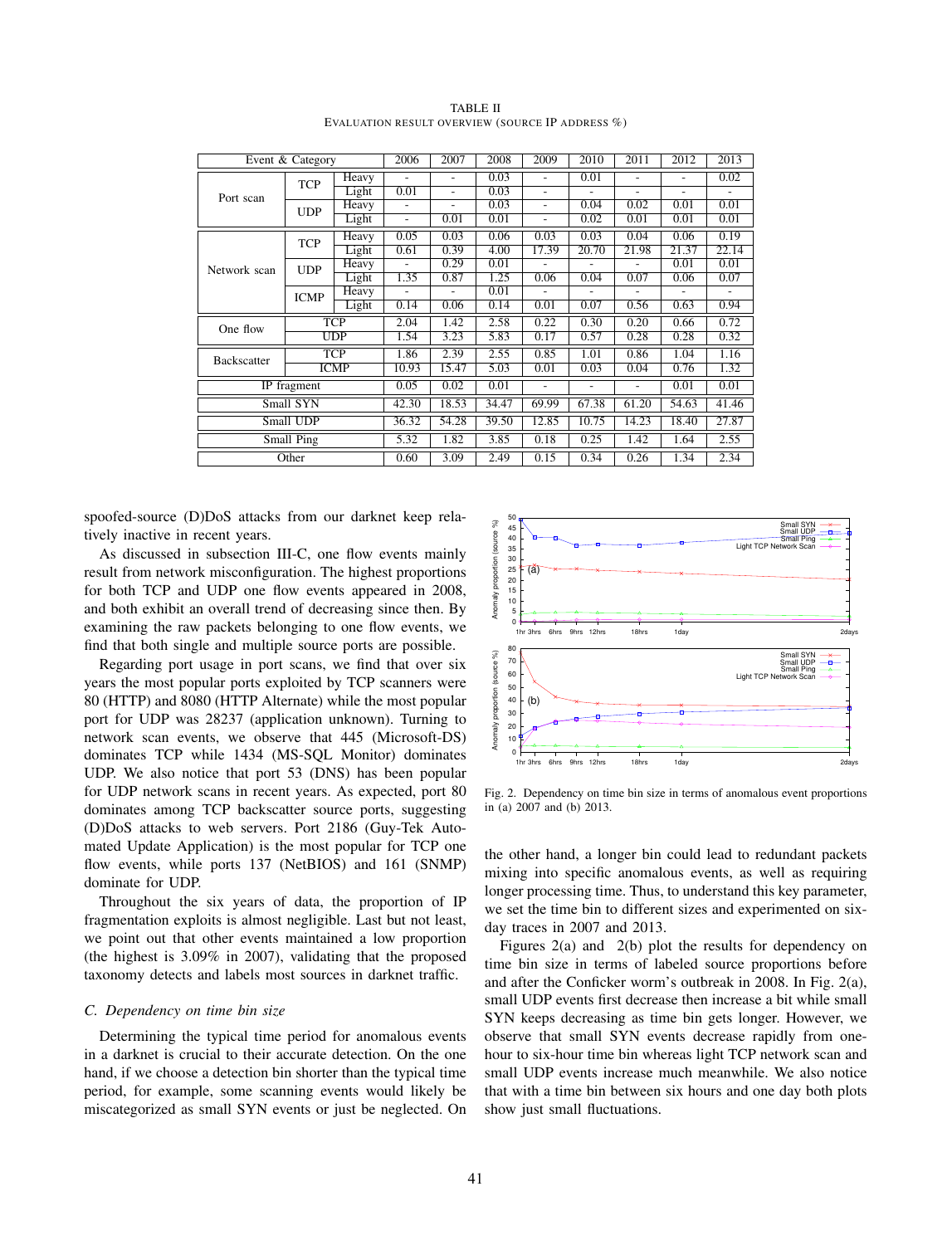| Event & Category<br>Heavy<br><b>TCP</b><br>Light<br>Port scan<br>Heavy<br><b>UDP</b><br>Light<br>Heavy<br><b>TCP</b> |                           | 2006         | 2007                     | 2008           | 2009  | 2010                     | 2011           | 2012                                                                                                                                                                                                            | 2013           |       |
|----------------------------------------------------------------------------------------------------------------------|---------------------------|--------------|--------------------------|----------------|-------|--------------------------|----------------|-----------------------------------------------------------------------------------------------------------------------------------------------------------------------------------------------------------------|----------------|-------|
|                                                                                                                      |                           |              |                          | $\overline{a}$ | 0.03  | $\overline{a}$           | 0.01           |                                                                                                                                                                                                                 | $\overline{a}$ | 0.02  |
|                                                                                                                      |                           |              | 0.01                     | ÷              | 0.03  | $\overline{a}$           | $\overline{a}$ | $\overline{a}$                                                                                                                                                                                                  | $\overline{a}$ |       |
|                                                                                                                      |                           |              | ۰                        | $\overline{a}$ | 0.03  | $\overline{\phantom{a}}$ | 0.04           |                                                                                                                                                                                                                 | 0.01           |       |
|                                                                                                                      |                           |              | $\overline{\phantom{0}}$ | 0.01           | 0.01  | $\overline{\phantom{a}}$ | 0.02           |                                                                                                                                                                                                                 |                |       |
|                                                                                                                      |                           |              | 0.05                     | 0.03           | 0.06  | 0.03                     | 0.03           | 0.04                                                                                                                                                                                                            | 0.06           | 0.19  |
|                                                                                                                      |                           | Light        | 0.61                     | 0.39           | 4.00  | 17.39                    | 20.70          | 21.98                                                                                                                                                                                                           | 21.37          | 22.14 |
| Network scan                                                                                                         | <b>UDP</b>                | Heavy        |                          | 0.29           | 0.01  |                          |                | $\overline{a}$                                                                                                                                                                                                  | 0.01           | 0.01  |
|                                                                                                                      |                           | Light        | 1.35                     | 0.87           | 1.25  | 0.06                     | 0.04           | 0.07                                                                                                                                                                                                            | 0.06           | 0.07  |
|                                                                                                                      | <b>ICMP</b>               | <b>Heavy</b> |                          | $\overline{a}$ | 0.01  |                          |                |                                                                                                                                                                                                                 |                |       |
|                                                                                                                      |                           | Light        | 0.14                     | 0.06           | 0.14  | 0.01                     | 0.07           |                                                                                                                                                                                                                 |                |       |
| One flow                                                                                                             | TCP                       |              | 2.04                     | 1.42           | 2.58  | 0.22                     | 0.30           | 0.20                                                                                                                                                                                                            | 0.66           | 0.72  |
|                                                                                                                      | $\overline{\mathrm{UDP}}$ |              | 1.54                     | 3.23           | 5.83  | 0.17                     | 0.57           | 0.28                                                                                                                                                                                                            | 0.28           | 0.32  |
| <b>Backscatter</b>                                                                                                   | <b>TCP</b>                |              | 1.86                     | 2.39           | 2.55  | 0.85                     | 1.01           | 0.86                                                                                                                                                                                                            | 1.04           | 1.16  |
|                                                                                                                      |                           | <b>ICMP</b>  | 10.93                    | 15.47          | 5.03  | 0.01                     | 0.03           | 0.02<br>0.01<br>0.01<br>0.01<br>0.01<br>0.56<br>0.63<br>0.94<br>0.76<br>0.04<br>1.32<br>0.01<br>0.01<br>٠<br>61.20<br>54.63<br>41.46<br>27.87<br>14.23<br>18.40<br>1.42<br>2.55<br>1.64<br>0.26<br>1.34<br>2.34 |                |       |
| $\overline{IP}$ fragment                                                                                             | 0.05                      | 0.02         | 0.01                     | ٠              | ٠     |                          |                |                                                                                                                                                                                                                 |                |       |
| Small SYN                                                                                                            | 42.30                     | 18.53        | 34.47                    | 69.99          | 67.38 |                          |                |                                                                                                                                                                                                                 |                |       |
| Small UDP                                                                                                            |                           |              | 36.32                    | 54.28          | 39.50 | 12.85                    | 10.75          |                                                                                                                                                                                                                 |                |       |
| Small Ping                                                                                                           |                           |              | 5.32                     | 1.82           | 3.85  | 0.18                     | 0.25           |                                                                                                                                                                                                                 |                |       |
|                                                                                                                      | Other                     |              | 0.60                     | 3.09           | 2.49  | 0.15                     | 0.34           |                                                                                                                                                                                                                 |                |       |

TABLE II EVALUATION RESULT OVERVIEW (SOURCE IP ADDRESS %)

spoofed-source (D)DoS attacks from our darknet keep relatively inactive in recent years.

As discussed in subsection III-C, one flow events mainly result from network misconfiguration. The highest proportions for both TCP and UDP one flow events appeared in 2008, and both exhibit an overall trend of decreasing since then. By examining the raw packets belonging to one flow events, we find that both single and multiple source ports are possible.

Regarding port usage in port scans, we find that over six years the most popular ports exploited by TCP scanners were 80 (HTTP) and 8080 (HTTP Alternate) while the most popular port for UDP was 28237 (application unknown). Turning to network scan events, we observe that 445 (Microsoft-DS) dominates TCP while 1434 (MS-SQL Monitor) dominates UDP. We also notice that port 53 (DNS) has been popular for UDP network scans in recent years. As expected, port 80 dominates among TCP backscatter source ports, suggesting (D)DoS attacks to web servers. Port 2186 (Guy-Tek Automated Update Application) is the most popular for TCP one flow events, while ports 137 (NetBIOS) and 161 (SNMP) dominate for UDP.

Throughout the six years of data, the proportion of IP fragmentation exploits is almost negligible. Last but not least, we point out that other events maintained a low proportion (the highest is 3.09% in 2007), validating that the proposed taxonomy detects and labels most sources in darknet traffic.

#### *C. Dependency on time bin size*

Determining the typical time period for anomalous events in a darknet is crucial to their accurate detection. On the one hand, if we choose a detection bin shorter than the typical time period, for example, some scanning events would likely be miscategorized as small SYN events or just be neglected. On



Fig. 2. Dependency on time bin size in terms of anomalous event proportions in (a) 2007 and (b) 2013.

the other hand, a longer bin could lead to redundant packets mixing into specific anomalous events, as well as requiring longer processing time. Thus, to understand this key parameter, we set the time bin to different sizes and experimented on sixday traces in 2007 and 2013.

Figures 2(a) and 2(b) plot the results for dependency on time bin size in terms of labeled source proportions before and after the Conficker worm's outbreak in 2008. In Fig. 2(a), small UDP events first decrease then increase a bit while small SYN keeps decreasing as time bin gets longer. However, we observe that small SYN events decrease rapidly from onehour to six-hour time bin whereas light TCP network scan and small UDP events increase much meanwhile. We also notice that with a time bin between six hours and one day both plots show just small fluctuations.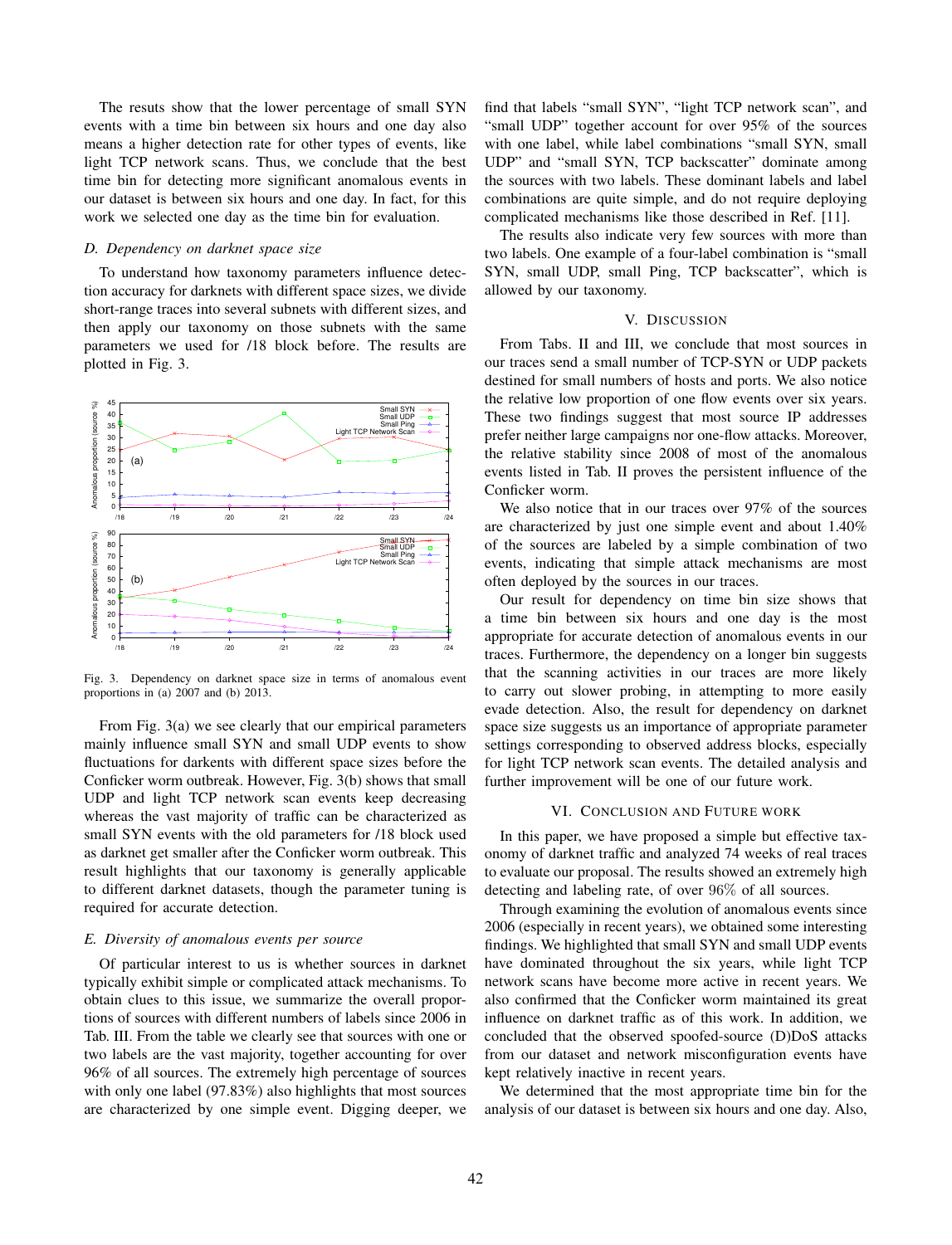The resuts show that the lower percentage of small SYN events with a time bin between six hours and one day also means a higher detection rate for other types of events, like light TCP network scans. Thus, we conclude that the best time bin for detecting more significant anomalous events in our dataset is between six hours and one day. In fact, for this work we selected one day as the time bin for evaluation.

# *D. Dependency on darknet space size*

To understand how taxonomy parameters influence detection accuracy for darknets with different space sizes, we divide short-range traces into several subnets with different sizes, and then apply our taxonomy on those subnets with the same parameters we used for /18 block before. The results are plotted in Fig. 3.



Fig. 3. Dependency on darknet space size in terms of anomalous event proportions in (a) 2007 and (b) 2013.

From Fig. 3(a) we see clearly that our empirical parameters mainly influence small SYN and small UDP events to show fluctuations for darkents with different space sizes before the Conficker worm outbreak. However, Fig. 3(b) shows that small UDP and light TCP network scan events keep decreasing whereas the vast majority of traffic can be characterized as small SYN events with the old parameters for /18 block used as darknet get smaller after the Conficker worm outbreak. This result highlights that our taxonomy is generally applicable to different darknet datasets, though the parameter tuning is required for accurate detection.

#### *E. Diversity of anomalous events per source*

Of particular interest to us is whether sources in darknet typically exhibit simple or complicated attack mechanisms. To obtain clues to this issue, we summarize the overall proportions of sources with different numbers of labels since 2006 in Tab. III. From the table we clearly see that sources with one or two labels are the vast majority, together accounting for over 96% of all sources. The extremely high percentage of sources with only one label (97.83%) also highlights that most sources are characterized by one simple event. Digging deeper, we

find that labels "small SYN", "light TCP network scan", and "small UDP" together account for over 95% of the sources with one label, while label combinations "small SYN, small UDP" and "small SYN, TCP backscatter" dominate among the sources with two labels. These dominant labels and label combinations are quite simple, and do not require deploying complicated mechanisms like those described in Ref. [11].

The results also indicate very few sources with more than two labels. One example of a four-label combination is "small SYN, small UDP, small Ping, TCP backscatter", which is allowed by our taxonomy.

## V. DISCUSSION

From Tabs. II and III, we conclude that most sources in our traces send a small number of TCP-SYN or UDP packets destined for small numbers of hosts and ports. We also notice the relative low proportion of one flow events over six years. These two findings suggest that most source IP addresses prefer neither large campaigns nor one-flow attacks. Moreover, the relative stability since 2008 of most of the anomalous events listed in Tab. II proves the persistent influence of the Conficker worm.

We also notice that in our traces over 97% of the sources are characterized by just one simple event and about 1.40% of the sources are labeled by a simple combination of two events, indicating that simple attack mechanisms are most often deployed by the sources in our traces.

Our result for dependency on time bin size shows that a time bin between six hours and one day is the most appropriate for accurate detection of anomalous events in our traces. Furthermore, the dependency on a longer bin suggests that the scanning activities in our traces are more likely to carry out slower probing, in attempting to more easily evade detection. Also, the result for dependency on darknet space size suggests us an importance of appropriate parameter settings corresponding to observed address blocks, especially for light TCP network scan events. The detailed analysis and further improvement will be one of our future work.

### VI. CONCLUSION AND FUTURE WORK

In this paper, we have proposed a simple but effective taxonomy of darknet traffic and analyzed 74 weeks of real traces to evaluate our proposal. The results showed an extremely high detecting and labeling rate, of over 96% of all sources.

Through examining the evolution of anomalous events since 2006 (especially in recent years), we obtained some interesting findings. We highlighted that small SYN and small UDP events have dominated throughout the six years, while light TCP network scans have become more active in recent years. We also confirmed that the Conficker worm maintained its great influence on darknet traffic as of this work. In addition, we concluded that the observed spoofed-source (D)DoS attacks from our dataset and network misconfiguration events have kept relatively inactive in recent years.

We determined that the most appropriate time bin for the analysis of our dataset is between six hours and one day. Also,